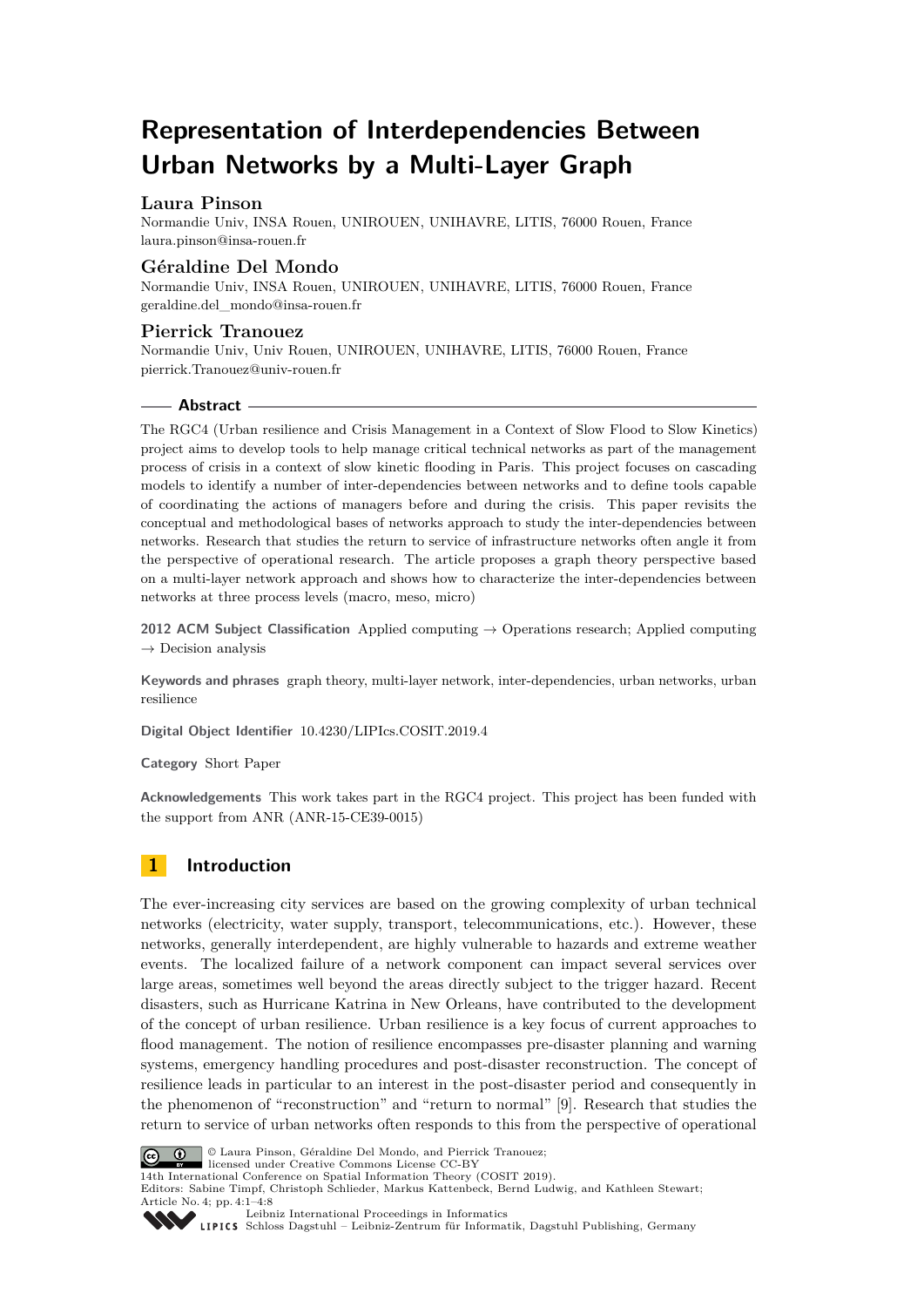# **Representation of Interdependencies Between Urban Networks by a Multi-Layer Graph**

# **Laura Pinson**

Normandie Univ, INSA Rouen, UNIROUEN, UNIHAVRE, LITIS, 76000 Rouen, France [laura.pinson@insa-rouen.fr](mailto:laura.pinson@insa-rouen.fr)

### **Géraldine Del Mondo**

Normandie Univ, INSA Rouen, UNIROUEN, UNIHAVRE, LITIS, 76000 Rouen, France [geraldine.del\\_mondo@insa-rouen.fr](mailto:geraldine.del_mondo@insa-rouen.fr)

### **Pierrick Tranouez**

Normandie Univ, Univ Rouen, UNIROUEN, UNIHAVRE, LITIS, 76000 Rouen, France [pierrick.Tranouez@univ-rouen.fr](mailto:pierrick.Tranouez@univ-rouen.fr)

### **Abstract**

The RGC4 (Urban resilience and Crisis Management in a Context of Slow Flood to Slow Kinetics) project aims to develop tools to help manage critical technical networks as part of the management process of crisis in a context of slow kinetic flooding in Paris. This project focuses on cascading models to identify a number of inter-dependencies between networks and to define tools capable of coordinating the actions of managers before and during the crisis. This paper revisits the conceptual and methodological bases of networks approach to study the inter-dependencies between networks. Research that studies the return to service of infrastructure networks often angle it from the perspective of operational research. The article proposes a graph theory perspective based on a multi-layer network approach and shows how to characterize the inter-dependencies between networks at three process levels (macro, meso, micro)

**2012 ACM Subject Classification** Applied computing → Operations research; Applied computing  $\rightarrow$  Decision analysis

**Keywords and phrases** graph theory, multi-layer network, inter-dependencies, urban networks, urban resilience

**Digital Object Identifier** [10.4230/LIPIcs.COSIT.2019.4](https://doi.org/10.4230/LIPIcs.COSIT.2019.4)

**Category** Short Paper

**Acknowledgements** This work takes part in the RGC4 project. This project has been funded with the support from ANR (ANR-15-CE39-0015)

# **1 Introduction**

The ever-increasing city services are based on the growing complexity of urban technical networks (electricity, water supply, transport, telecommunications, etc.). However, these networks, generally interdependent, are highly vulnerable to hazards and extreme weather events. The localized failure of a network component can impact several services over large areas, sometimes well beyond the areas directly subject to the trigger hazard. Recent disasters, such as Hurricane Katrina in New Orleans, have contributed to the development of the concept of urban resilience. Urban resilience is a key focus of current approaches to flood management. The notion of resilience encompasses pre-disaster planning and warning systems, emergency handling procedures and post-disaster reconstruction. The concept of resilience leads in particular to an interest in the post-disaster period and consequently in the phenomenon of "reconstruction" and "return to normal" [\[9\]](#page-7-0). Research that studies the return to service of urban networks often responds to this from the perspective of operational



© Laura Pinson, Géraldine Del Mondo, and Pierrick Tranouez; licensed under Creative Commons License CC-BY

14th International Conference on Spatial Information Theory (COSIT 2019).

Editors: Sabine Timpf, Christoph Schlieder, Markus Kattenbeck, Bernd Ludwig, and Kathleen Stewart; Article No. 4; pp. 4:1–4[:8](#page-7-1)



[Leibniz International Proceedings in Informatics](https://www.dagstuhl.de/lipics/)

[Schloss Dagstuhl – Leibniz-Zentrum für Informatik, Dagstuhl Publishing, Germany](https://www.dagstuhl.de)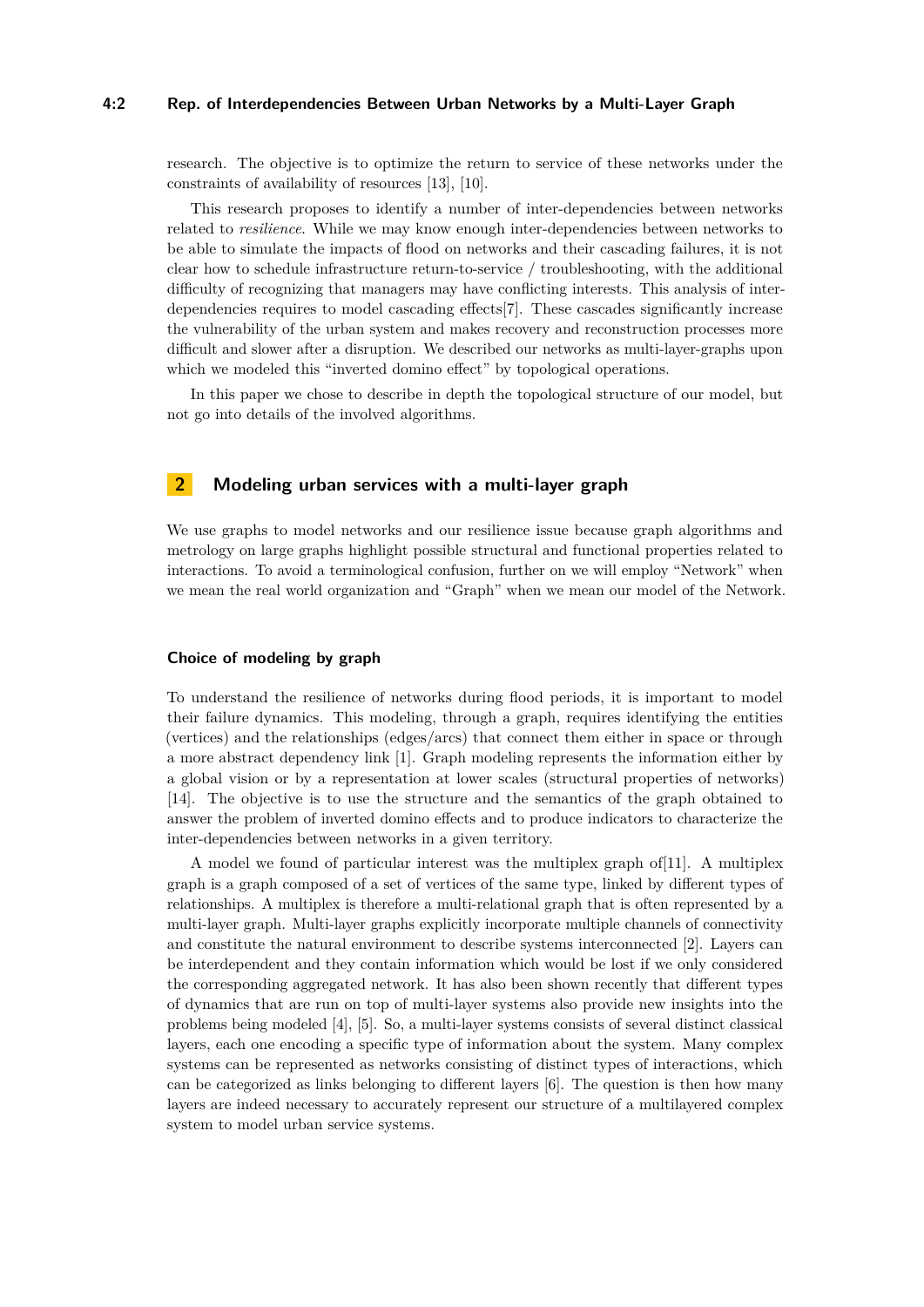#### **4:2 Rep. of Interdependencies Between Urban Networks by a Multi-Layer Graph**

research. The objective is to optimize the return to service of these networks under the constraints of availability of resources [\[13\]](#page-7-2), [\[10\]](#page-7-3).

This research proposes to identify a number of inter-dependencies between networks related to *resilience*. While we may know enough inter-dependencies between networks to be able to simulate the impacts of flood on networks and their cascading failures, it is not clear how to schedule infrastructure return-to-service / troubleshooting, with the additional difficulty of recognizing that managers may have conflicting interests. This analysis of interdependencies requires to model cascading effects[\[7\]](#page-7-4). These cascades significantly increase the vulnerability of the urban system and makes recovery and reconstruction processes more difficult and slower after a disruption. We described our networks as multi-layer-graphs upon which we modeled this "inverted domino effect" by topological operations.

In this paper we chose to describe in depth the topological structure of our model, but not go into details of the involved algorithms.

# **2 Modeling urban services with a multi-layer graph**

We use graphs to model networks and our resilience issue because graph algorithms and metrology on large graphs highlight possible structural and functional properties related to interactions. To avoid a terminological confusion, further on we will employ "Network" when we mean the real world organization and "Graph" when we mean our model of the Network.

### **Choice of modeling by graph**

To understand the resilience of networks during flood periods, it is important to model their failure dynamics. This modeling, through a graph, requires identifying the entities (vertices) and the relationships (edges/arcs) that connect them either in space or through a more abstract dependency link [\[1\]](#page-7-5). Graph modeling represents the information either by a global vision or by a representation at lower scales (structural properties of networks) [\[14\]](#page-7-6). The objective is to use the structure and the semantics of the graph obtained to answer the problem of inverted domino effects and to produce indicators to characterize the inter-dependencies between networks in a given territory.

A model we found of particular interest was the multiplex graph of[\[11\]](#page-7-7). A multiplex graph is a graph composed of a set of vertices of the same type, linked by different types of relationships. A multiplex is therefore a multi-relational graph that is often represented by a multi-layer graph. Multi-layer graphs explicitly incorporate multiple channels of connectivity and constitute the natural environment to describe systems interconnected [\[2\]](#page-7-8). Layers can be interdependent and they contain information which would be lost if we only considered the corresponding aggregated network. It has also been shown recently that different types of dynamics that are run on top of multi-layer systems also provide new insights into the problems being modeled [\[4\]](#page-7-9), [\[5\]](#page-7-10). So, a multi-layer systems consists of several distinct classical layers, each one encoding a specific type of information about the system. Many complex systems can be represented as networks consisting of distinct types of interactions, which can be categorized as links belonging to different layers [\[6\]](#page-7-11). The question is then how many layers are indeed necessary to accurately represent our structure of a multilayered complex system to model urban service systems.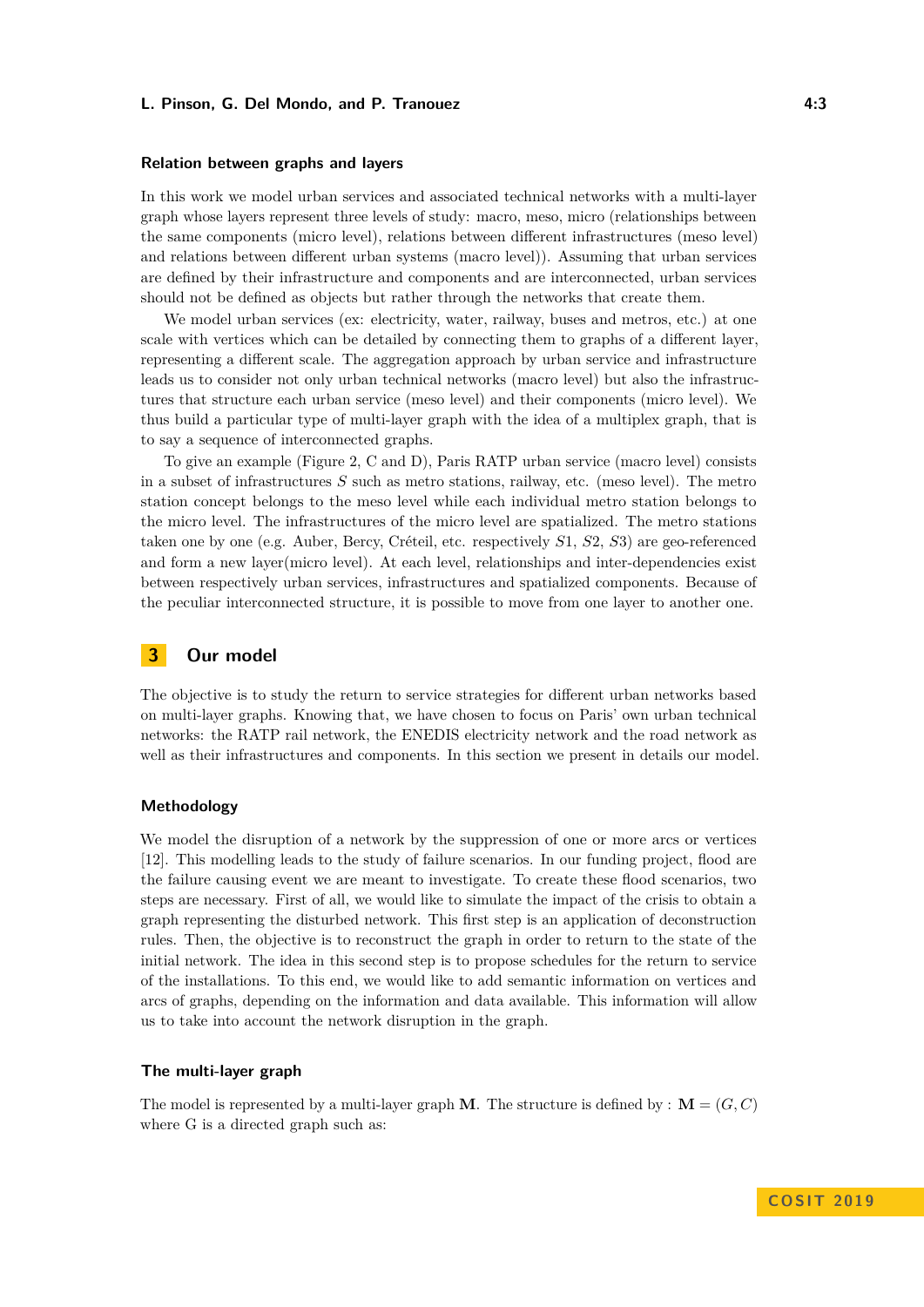### **L. Pinson, G. Del Mondo, and P. Tranouez 4:3**

#### **Relation between graphs and layers**

In this work we model urban services and associated technical networks with a multi-layer graph whose layers represent three levels of study: macro, meso, micro (relationships between the same components (micro level), relations between different infrastructures (meso level) and relations between different urban systems (macro level)). Assuming that urban services are defined by their infrastructure and components and are interconnected, urban services should not be defined as objects but rather through the networks that create them.

We model urban services (ex: electricity, water, railway, buses and metros, etc.) at one scale with vertices which can be detailed by connecting them to graphs of a different layer, representing a different scale. The aggregation approach by urban service and infrastructure leads us to consider not only urban technical networks (macro level) but also the infrastructures that structure each urban service (meso level) and their components (micro level). We thus build a particular type of multi-layer graph with the idea of a multiplex graph, that is to say a sequence of interconnected graphs.

To give an example (Figure [2,](#page-5-0) C and D), Paris RATP urban service (macro level) consists in a subset of infrastructures *S* such as metro stations, railway, etc. (meso level). The metro station concept belongs to the meso level while each individual metro station belongs to the micro level. The infrastructures of the micro level are spatialized. The metro stations taken one by one (e.g. Auber, Bercy, Créteil, etc. respectively *S*1, *S*2, *S*3) are geo-referenced and form a new layer(micro level). At each level, relationships and inter-dependencies exist between respectively urban services, infrastructures and spatialized components. Because of the peculiar interconnected structure, it is possible to move from one layer to another one.

# **3 Our model**

The objective is to study the return to service strategies for different urban networks based on multi-layer graphs. Knowing that, we have chosen to focus on Paris' own urban technical networks: the RATP rail network, the ENEDIS electricity network and the road network as well as their infrastructures and components. In this section we present in details our model.

### **Methodology**

We model the disruption of a network by the suppression of one or more arcs or vertices [\[12\]](#page-7-12). This modelling leads to the study of failure scenarios. In our funding project, flood are the failure causing event we are meant to investigate. To create these flood scenarios, two steps are necessary. First of all, we would like to simulate the impact of the crisis to obtain a graph representing the disturbed network. This first step is an application of deconstruction rules. Then, the objective is to reconstruct the graph in order to return to the state of the initial network. The idea in this second step is to propose schedules for the return to service of the installations. To this end, we would like to add semantic information on vertices and arcs of graphs, depending on the information and data available. This information will allow us to take into account the network disruption in the graph.

### <span id="page-2-0"></span>**The multi-layer graph**

The model is represented by a multi-layer graph **M**. The structure is defined by :  $\mathbf{M} = (G, C)$ where G is a directed graph such as: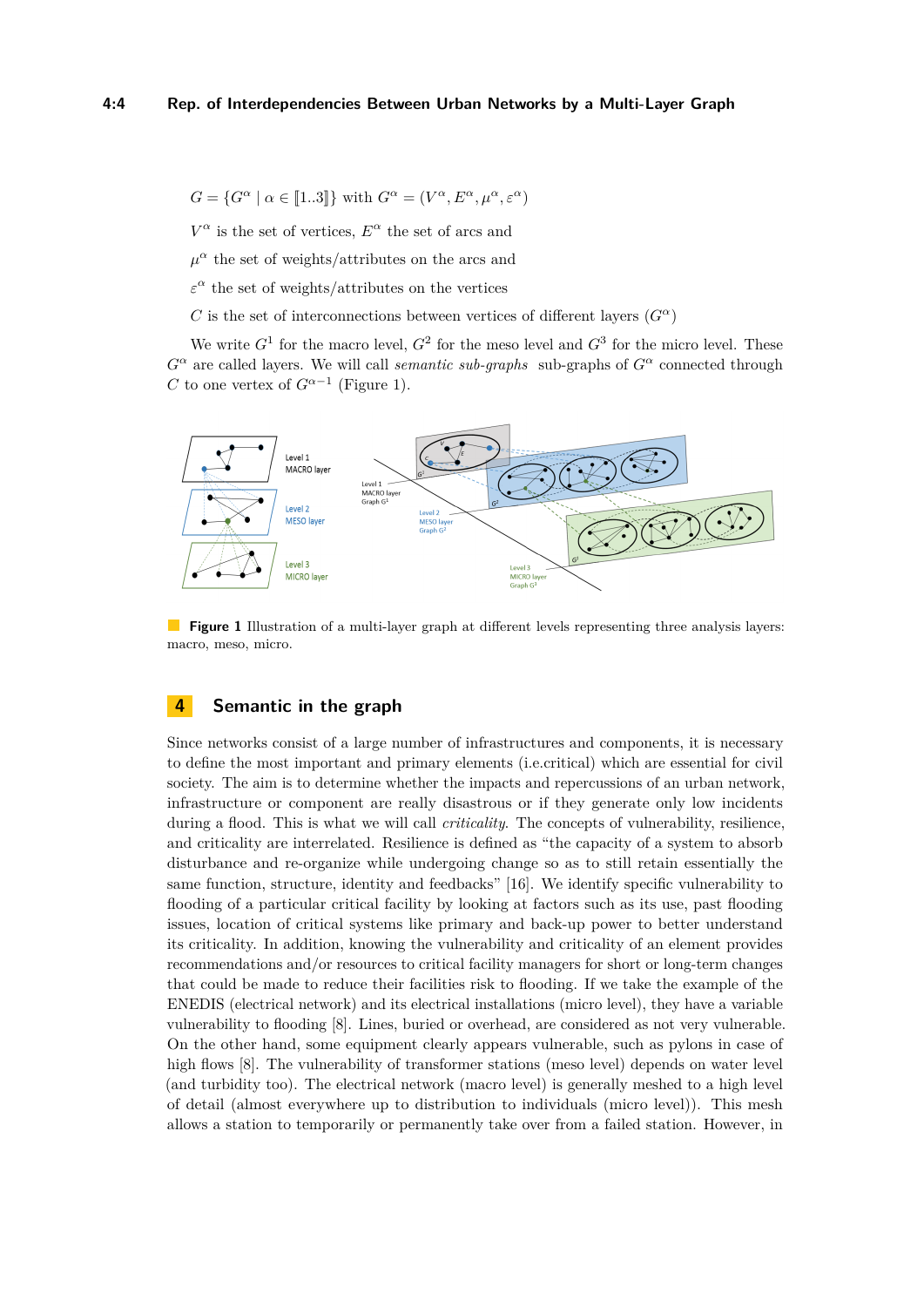$$
G = \{ G^{\alpha} \mid \alpha \in [\![1..3]\!] \}
$$
 with  $G^{\alpha} = (V^{\alpha}, E^{\alpha}, \mu^{\alpha}, \varepsilon^{\alpha})$ 

 $V^{\alpha}$  is the set of vertices,  $E^{\alpha}$  the set of arcs and

 $\mu^{\alpha}$  the set of weights/attributes on the arcs and

 $\varepsilon^{\alpha}$  the set of weights/attributes on the vertices

*C* is the set of interconnections between vertices of different layers  $(G^{\alpha})$ 

We write  $G^1$  for the macro level,  $G^2$  for the meso level and  $G^3$  for the micro level. These  $G^{\alpha}$  are called layers. We will call *semantic sub-graphs* sub-graphs of  $G^{\alpha}$  connected through *C* to one vertex of  $G^{\alpha-1}$  (Figure [1\)](#page-3-0).

<span id="page-3-0"></span>

**Figure 1** Illustration of a multi-layer graph at different levels representing three analysis layers: macro, meso, micro.

# **4 Semantic in the graph**

Since networks consist of a large number of infrastructures and components, it is necessary to define the most important and primary elements (i.e.critical) which are essential for civil society. The aim is to determine whether the impacts and repercussions of an urban network, infrastructure or component are really disastrous or if they generate only low incidents during a flood. This is what we will call *criticality*. The concepts of vulnerability, resilience, and criticality are interrelated. Resilience is defined as "the capacity of a system to absorb disturbance and re-organize while undergoing change so as to still retain essentially the same function, structure, identity and feedbacks" [\[16\]](#page-7-13). We identify specific vulnerability to flooding of a particular critical facility by looking at factors such as its use, past flooding issues, location of critical systems like primary and back-up power to better understand its criticality. In addition, knowing the vulnerability and criticality of an element provides recommendations and/or resources to critical facility managers for short or long-term changes that could be made to reduce their facilities risk to flooding. If we take the example of the ENEDIS (electrical network) and its electrical installations (micro level), they have a variable vulnerability to flooding [\[8\]](#page-7-14). Lines, buried or overhead, are considered as not very vulnerable. On the other hand, some equipment clearly appears vulnerable, such as pylons in case of high flows [\[8\]](#page-7-14). The vulnerability of transformer stations (meso level) depends on water level (and turbidity too). The electrical network (macro level) is generally meshed to a high level of detail (almost everywhere up to distribution to individuals (micro level)). This mesh allows a station to temporarily or permanently take over from a failed station. However, in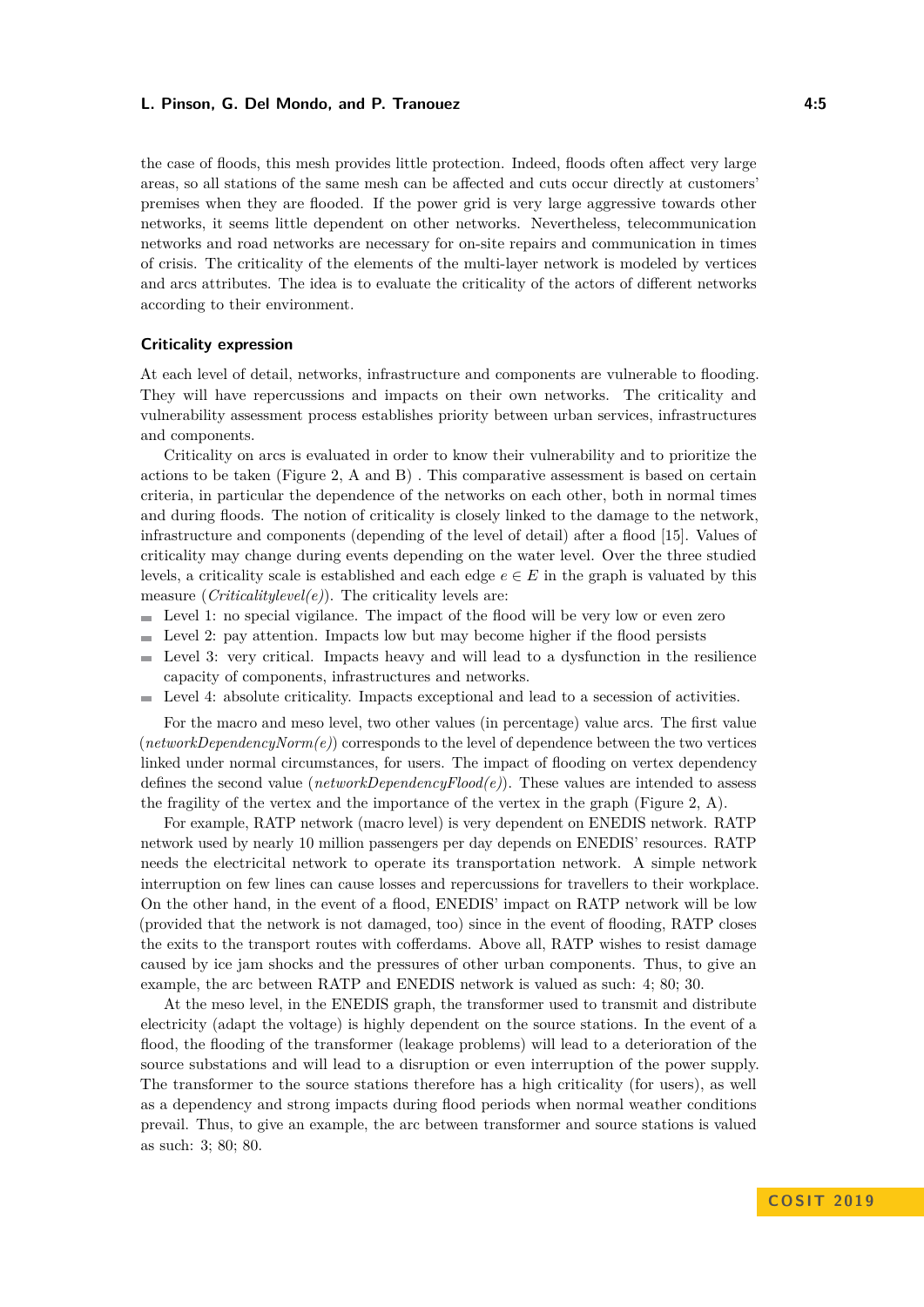### **L. Pinson, G. Del Mondo, and P. Tranouez 4:5**

the case of floods, this mesh provides little protection. Indeed, floods often affect very large areas, so all stations of the same mesh can be affected and cuts occur directly at customers' premises when they are flooded. If the power grid is very large aggressive towards other networks, it seems little dependent on other networks. Nevertheless, telecommunication networks and road networks are necessary for on-site repairs and communication in times of crisis. The criticality of the elements of the multi-layer network is modeled by vertices and arcs attributes. The idea is to evaluate the criticality of the actors of different networks according to their environment.

### **Criticality expression**

At each level of detail, networks, infrastructure and components are vulnerable to flooding. They will have repercussions and impacts on their own networks. The criticality and vulnerability assessment process establishes priority between urban services, infrastructures and components.

Criticality on arcs is evaluated in order to know their vulnerability and to prioritize the actions to be taken (Figure [2,](#page-5-0) A and B) . This comparative assessment is based on certain criteria, in particular the dependence of the networks on each other, both in normal times and during floods. The notion of criticality is closely linked to the damage to the network, infrastructure and components (depending of the level of detail) after a flood [\[15\]](#page-7-15). Values of criticality may change during events depending on the water level. Over the three studied levels, a criticality scale is established and each edge  $e \in E$  in the graph is valuated by this measure (*Criticalitylevel(e)*). The criticality levels are:

- $\blacksquare$  Level 1: no special vigilance. The impact of the flood will be very low or even zero
- $\blacksquare$  Level 2: pay attention. Impacts low but may become higher if the flood persists
- $\blacksquare$ Level 3: very critical. Impacts heavy and will lead to a dysfunction in the resilience capacity of components, infrastructures and networks.
- Level 4: absolute criticality. Impacts exceptional and lead to a secession of activities. m.

For the macro and meso level, two other values (in percentage) value arcs. The first value (*networkDependencyNorm(e)*) corresponds to the level of dependence between the two vertices linked under normal circumstances, for users. The impact of flooding on vertex dependency defines the second value (*networkDependencyFlood(e)*). These values are intended to assess the fragility of the vertex and the importance of the vertex in the graph (Figure [2,](#page-5-0) A).

For example, RATP network (macro level) is very dependent on ENEDIS network. RATP network used by nearly 10 million passengers per day depends on ENEDIS' resources. RATP needs the electricital network to operate its transportation network. A simple network interruption on few lines can cause losses and repercussions for travellers to their workplace. On the other hand, in the event of a flood, ENEDIS' impact on RATP network will be low (provided that the network is not damaged, too) since in the event of flooding, RATP closes the exits to the transport routes with cofferdams. Above all, RATP wishes to resist damage caused by ice jam shocks and the pressures of other urban components. Thus, to give an example, the arc between RATP and ENEDIS network is valued as such: 4; 80; 30.

At the meso level, in the ENEDIS graph, the transformer used to transmit and distribute electricity (adapt the voltage) is highly dependent on the source stations. In the event of a flood, the flooding of the transformer (leakage problems) will lead to a deterioration of the source substations and will lead to a disruption or even interruption of the power supply. The transformer to the source stations therefore has a high criticality (for users), as well as a dependency and strong impacts during flood periods when normal weather conditions prevail. Thus, to give an example, the arc between transformer and source stations is valued as such: 3; 80; 80.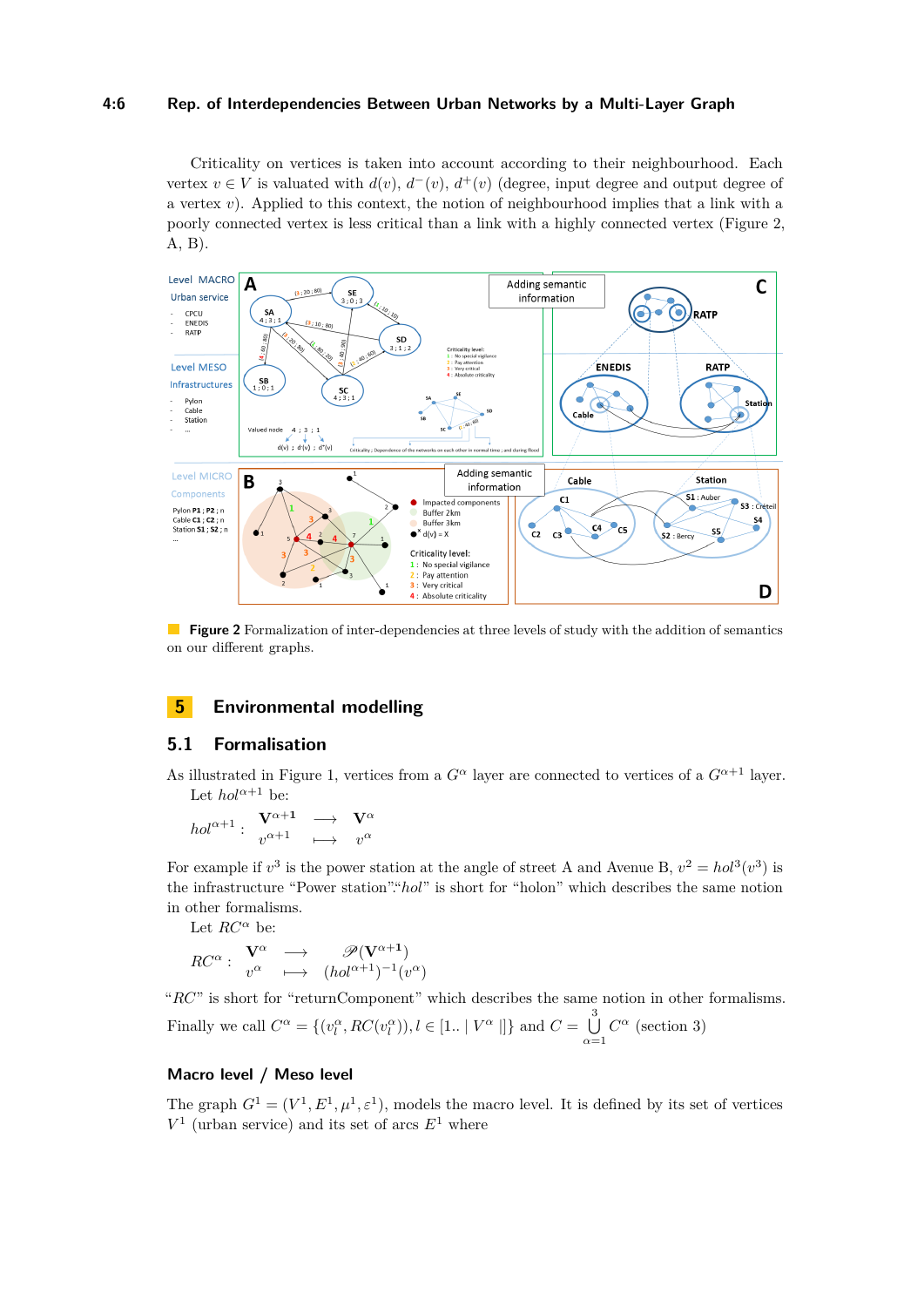### **4:6 Rep. of Interdependencies Between Urban Networks by a Multi-Layer Graph**

Criticality on vertices is taken into account according to their neighbourhood. Each vertex  $v \in V$  is valuated with  $d(v)$ ,  $d^-(v)$ ,  $d^+(v)$  (degree, input degree and output degree of a vertex *v*). Applied to this context, the notion of neighbourhood implies that a link with a poorly connected vertex is less critical than a link with a highly connected vertex (Figure [2,](#page-5-0) A, B).

<span id="page-5-0"></span>

**Figure 2** Formalization of inter-dependencies at three levels of study with the addition of semantics on our different graphs.

# **5 Environmental modelling**

## **5.1 Formalisation**

As illustrated in Figure [1,](#page-3-0) vertices from a  $G^{\alpha}$  layer are connected to vertices of a  $G^{\alpha+1}$  layer. Let  $hol^{\alpha+1}$  be:

$$
hol^{\alpha+1}:\begin{array}{ccc}\n\mathbf{V}^{\alpha+1} & \longrightarrow & \mathbf{V}^{\alpha} \\
v^{\alpha+1} & \longmapsto & v^{\alpha}\n\end{array}
$$

For example if  $v^3$  is the power station at the angle of street A and Avenue B,  $v^2 = hol^3(v^3)$  is the infrastructure "Power station"."*hol*" is short for "holon" which describes the same notion in other formalisms.

Let  $RC^{\alpha}$  be:

$$
RC^{\alpha}: \begin{array}{ccc} \mathbf{V}^{\alpha} & \longrightarrow & \mathscr{P}(\mathbf{V}^{\alpha+1}) \\ v^{\alpha} & \longmapsto & (hol^{\alpha+1})^{-1}(v^{\alpha}) \end{array}
$$

"*RC*" is short for "returnComponent" which describes the same notion in other formalisms.

Finally we call 
$$
C^{\alpha} = \{(v_l^{\alpha}, RC(v_l^{\alpha})), l \in [1.. | V^{\alpha} | ]\}
$$
 and  $C = \bigcup_{\alpha=1}^{3} C^{\alpha}$  (section 3)

### **Macro level / Meso level**

The graph  $G^1 = (V^1, E^1, \mu^1, \varepsilon^1)$ , models the macro level. It is defined by its set of vertices  $V^1$  (urban service) and its set of arcs  $E^1$  where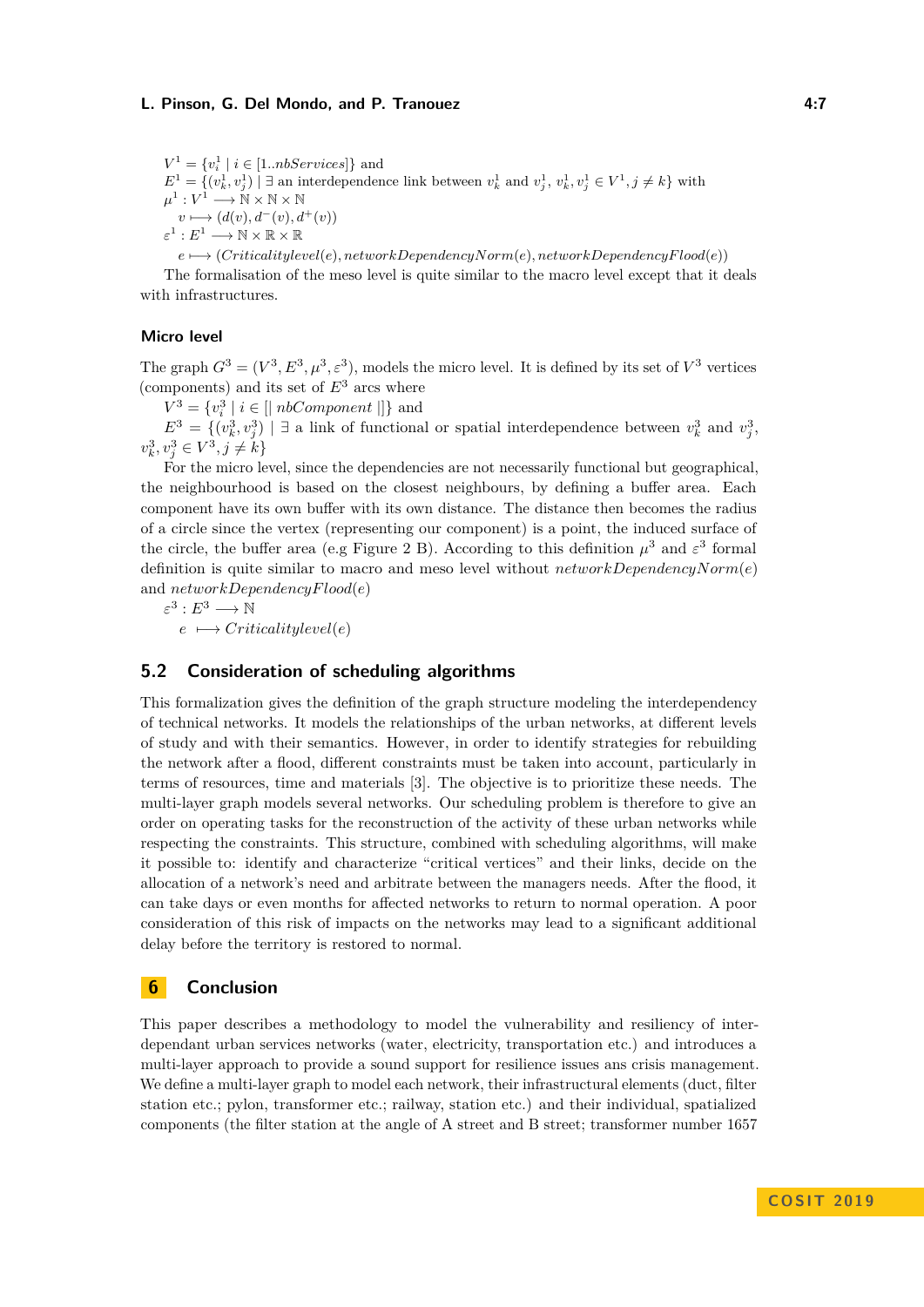### **L. Pinson, G. Del Mondo, and P. Tranouez 4:7**

 $V^1 = \{v_i^1 \mid i \in [1..nbservices]\}$  and  $E^1 = \{(v_k^1, v_j^1) \mid \exists \text{ an interdependence link between } v_k^1 \text{ and } v_j^1, v_k^1, v_j^1 \in V^1, j \neq k\}$  with  $\mu^1:V^1\longrightarrow \mathbb{N}\times\mathbb{N}\times\mathbb{N}$  $v \longmapsto (d(v), d^-(v), d^+(v))$  $\varepsilon^1: E^1 \longrightarrow \mathbb{N} \times \mathbb{R} \times \mathbb{R}$  $e \mapsto (Criticalitylevel(e), networkDependencyNorm(e), networkDependencyF (ood(e))$ 

The formalisation of the meso level is quite similar to the macro level except that it deals with infrastructures.

### **Micro level**

The graph  $G^3 = (V^3, E^3, \mu^3, \varepsilon^3)$ , models the micro level. It is defined by its set of  $V^3$  vertices (components) and its set of  $E<sup>3</sup>$  arcs where

 $V^3 = \{v_i^3 \mid i \in [|nbComponent|]\}$  and

 $E^3 = \{(v_k^3, v_j^3) \mid \exists \text{ a link of functional or spatial interdependence between } v_k^3 \text{ and } v_j^3,$  $v_k^3, v_j^3 \in V^3, j \neq k$ 

For the micro level, since the dependencies are not necessarily functional but geographical, the neighbourhood is based on the closest neighbours, by defining a buffer area. Each component have its own buffer with its own distance. The distance then becomes the radius of a circle since the vertex (representing our component) is a point, the induced surface of the circle, the buffer area (e.g Figure [2](#page-5-0) B). According to this definition  $\mu^3$  and  $\varepsilon^3$  formal definition is quite similar to macro and meso level without *networkDependencyNorm*(*e*) and *networkDependencyFlood*(*e*)

 $\varepsilon^3: E^3 \longrightarrow \mathbb{N}$  $e \mapsto \text{Criticality level}(e)$ 

# **5.2 Consideration of scheduling algorithms**

This formalization gives the definition of the graph structure modeling the interdependency of technical networks. It models the relationships of the urban networks, at different levels of study and with their semantics. However, in order to identify strategies for rebuilding the network after a flood, different constraints must be taken into account, particularly in terms of resources, time and materials [\[3\]](#page-7-16). The objective is to prioritize these needs. The multi-layer graph models several networks. Our scheduling problem is therefore to give an order on operating tasks for the reconstruction of the activity of these urban networks while respecting the constraints. This structure, combined with scheduling algorithms, will make it possible to: identify and characterize "critical vertices" and their links, decide on the allocation of a network's need and arbitrate between the managers needs. After the flood, it can take days or even months for affected networks to return to normal operation. A poor consideration of this risk of impacts on the networks may lead to a significant additional delay before the territory is restored to normal.

# **6 Conclusion**

This paper describes a methodology to model the vulnerability and resiliency of interdependant urban services networks (water, electricity, transportation etc.) and introduces a multi-layer approach to provide a sound support for resilience issues ans crisis management. We define a multi-layer graph to model each network, their infrastructural elements (duct, filter station etc.; pylon, transformer etc.; railway, station etc.) and their individual, spatialized components (the filter station at the angle of A street and B street; transformer number 1657